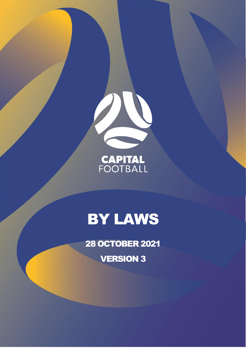

**CAPITAL**<br>FOOTBALL

# BY LAWS

28 OCTOBER 2021

VERSION 3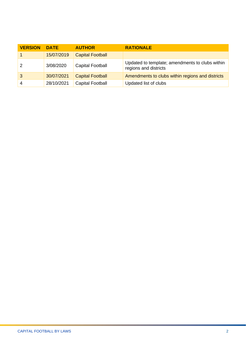| <b>VERSION</b> | <b>DATE</b> | <b>AUTHOR</b>           | <b>RATIONALE</b>                                                         |
|----------------|-------------|-------------------------|--------------------------------------------------------------------------|
|                | 15/07/2019  | <b>Capital Football</b> |                                                                          |
| $\overline{2}$ | 3/08/2020   | <b>Capital Football</b> | Updated to template; amendments to clubs within<br>regions and districts |
| -3             | 30/07/2021  | <b>Capital Football</b> | Amendments to clubs within regions and districts                         |
| -4             | 28/10/2021  | <b>Capital Football</b> | Updated list of clubs                                                    |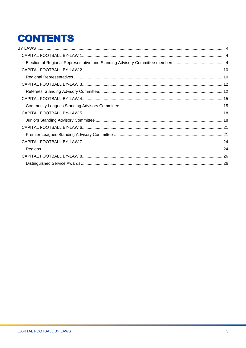# **CONTENTS**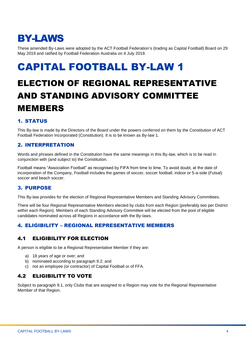### <span id="page-3-0"></span>BY-LAWS

These amended By-Laws were adopted by the ACT Football Federation's (trading as Capital Football) Board on 29 May 2019 and ratified by Football Federation Australia on 4 July 2019.

### <span id="page-3-1"></span>CAPITAL FOOTBALL BY-LAW 1

### <span id="page-3-2"></span>ELECTION OF REGIONAL REPRESENTATIVE AND STANDING ADVISORY COMMITTEE MEMBERS

#### 1. STATUS

This By-law is made by the Directors of the Board under the powers conferred on them by the Constitution of ACT Football Federation Incorporated (Constitution). It is to be known as By-law 1.

#### 2. INTERPRETATION

Words and phrases defined in the Constitution have the same meanings in this By-law, which is to be read in conjunction with (and subject to) the Constitution.

Football means "Association Football" as recognised by FIFA from time to time. To avoid doubt, at the date of incorporation of the Company, Football includes the games of soccer, soccer football, indoor or 5-a-side (Futsal) soccer and beach soccer.

#### 3. PURPOSE

This By-law provides for the election of Regional Representative Members and Standing Advisory Committees.

There will be four Regional Representative Members elected by clubs from each Region (preferably two per District within each Region). Members of each Standing Advisory Committee will be elected from the pool of eligible candidates nominated across all Regions in accordance with the By-laws.

#### 4. ELIGIBILITY – REGIONAL REPRESENTATIVE MEMBERS

#### 4.1 ELIGIBILITY FOR ELECTION

A person is eligible to be a Regional Representative Member if they are:

- a) 18 years of age or over; and
- b) nominated according to paragraph 9.2; and
- c) not an employee (or contractor) of Capital Football or of FFA.

#### 4.2 ELIGIBILITY TO VOTE

Subject to paragraph 9.1, only Clubs that are assigned to a Region may vote for the Regional Representative Member of that Region.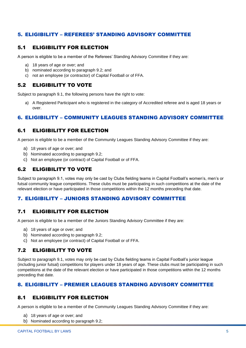#### 5. ELIGIBILITY – REFEREES' STANDING ADVISORY COMMITTEE

#### 5.1 ELIGIBILITY FOR ELECTION

A person is eligible to be a member of the Referees' Standing Advisory Committee if they are:

- a) 18 years of age or over; and
- b) nominated according to paragraph 9.2; and
- c) not an employee (or contractor) of Capital Football or of FFA.

#### 5.2 ELIGIBILITY TO VOTE

Subject to paragraph 9.1, the following persons have the right to vote:

a) A Registered Participant who is registered in the category of Accredited referee and is aged 18 years or over.

#### 6. ELIGIBILITY – COMMUNITY LEAGUES STANDING ADVISORY COMMITTEE

#### 6.1 ELIGIBILITY FOR ELECTION

A person is eligible to be a member of the Community Leagues Standing Advisory Committee if they are:

- a) 18 years of age or over; and
- b) Nominated according to paragraph 9.2;
- c) Not an employee (or contract) of Capital Football or of FFA.

#### 6.2 ELIGIBILITY TO VOTE

Subject to paragraph 9.1, votes may only be cast by Clubs fielding teams in Capital Football's women's, men's or futsal community league competitions. These clubs must be participating in such competitions at the date of the relevant election or have participated in those competitions within the 12 months preceding that date.

#### 7. ELIGIBILITY – JUNIORS STANDING ADVISORY COMMITTEE

#### 7.1 ELIGIBILITY FOR ELECTION

A person is eligible to be a member of the Juniors Standing Advisory Committee if they are:

- a) 18 years of age or over; and
- b) Nominated according to paragraph 9.2;
- c) Not an employee (or contract) of Capital Football or of FFA.

#### 7.2 ELIGIBILITY TO VOTE

Subject to paragraph 9.1, votes may only be cast by Clubs fielding teams in Capital Football's junior league (including junior futsal) competitions for players under 18 years of age. These clubs must be participating in such competitions at the date of the relevant election or have participated in those competitions within the 12 months preceding that date.

#### 8. ELIGIBILITY – PREMIER LEAGUES STANDING ADVISORY COMMITTEE

#### 8.1 ELIGIBILITY FOR ELECTION

A person is eligible to be a member of the Community Leagues Standing Advisory Committee if they are:

- a) 18 years of age or over; and
- b) Nominated according to paragraph 9.2;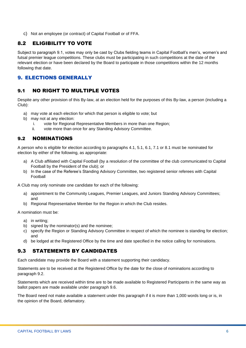c) Not an employee (or contract) of Capital Football or of FFA.

#### 8.2 ELIGIBILITY TO VOTE

Subject to paragraph 9.1, votes may only be cast by Clubs fielding teams in Capital Football's men's, women's and futsal premier league competitions. These clubs must be participating in such competitions at the date of the relevant election or have been declared by the Board to participate in those competitions within the 12 months following that date.

#### 9. ELECTIONS GENERALLY

#### 9.1 NO RIGHT TO MULTIPLE VOTES

Despite any other provision of this By-law, at an election held for the purposes of this By-law, a person (including a Club):

- a) may vote at each election for which that person is eligible to vote; but
- b) may not at any election:
	- i. vote for Regional Representative Members in more than one Region;
	- ii. vote more than once for any Standing Advisory Committee.

#### 9.2 NOMINATIONS

A person who is eligible for election according to paragraphs 4.1, 5.1, 6.1, 7.1 or 8.1 must be nominated for election by either of the following, as appropriate:

- a) A Club affiliated with Capital Football (by a resolution of the committee of the club communicated to Capital Football by the President of the club); or
- b) In the case of the Referee's Standing Advisory Committee, two registered senior referees with Capital Football

A Club may only nominate one candidate for each of the following:

- a) appointment to the Community Leagues, Premier Leagues, and Juniors Standing Advisory Committees; and
- b) Regional Representative Member for the Region in which the Club resides.

A nomination must be:

- a) in writing;
- b) signed by the nominator(s) and the nominee;
- c) specify the Region or Standing Advisory Committee in respect of which the nominee is standing for election; and
- d) be lodged at the Registered Office by the time and date specified in the notice calling for nominations.

#### 9.3 STATEMENTS BY CANDIDATES

Each candidate may provide the Board with a statement supporting their candidacy.

Statements are to be received at the Registered Office by the date for the close of nominations according to paragraph 9.2.

Statements which are received within time are to be made available to Registered Participants in the same way as ballot papers are made available under paragraph 9.6.

The Board need not make available a statement under this paragraph if it is more than 1,000 words long or is, in the opinion of the Board, defamatory.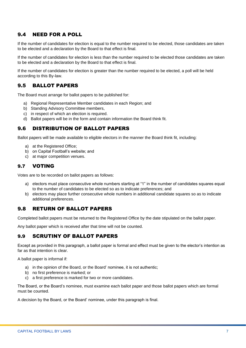#### 9.4 NEED FOR A POLL

If the number of candidates for election is equal to the number required to be elected, those candidates are taken to be elected and a declaration by the Board to that effect is final.

If the number of candidates for election is less than the number required to be elected those candidates are taken to be elected and a declaration by the Board to that effect is final.

If the number of candidates for election is greater than the number required to be elected, a poll will be held according to this By-law.

#### 9.5 BALLOT PAPERS

The Board must arrange for ballot papers to be published for:

- a) Regional Representative Member candidates in each Region; and
- b) Standing Advisory Committee members,
- c) in respect of which an election is required.
- d) Ballot papers will be in the form and contain information the Board think fit.

#### 9.6 DISTRIBUTION OF BALLOT PAPERS

Ballot papers will be made available to eligible electors in the manner the Board think fit, including:

- a) at the Registered Office;
- b) on Capital Football's website; and
- c) at major competition venues.

#### 9.7 VOTING

Votes are to be recorded on ballot papers as follows:

- a) electors must place consecutive whole numbers starting at "1" in the number of candidates squares equal to the number of candidates to be elected so as to indicate preferences; and
- b) electors may place further consecutive whole numbers in additional candidate squares so as to indicate additional preferences.

#### 9.8 RETURN OF BALLOT PAPERS

Completed ballot papers must be returned to the Registered Office by the date stipulated on the ballot paper.

Any ballot paper which is received after that time will not be counted.

#### 9.9 SCRUTINY OF BALLOT PAPERS

Except as provided in this paragraph, a ballot paper is formal and effect must be given to the elector's intention as far as that intention is clear.

A ballot paper is informal if:

- a) in the opinion of the Board, or the Board' nominee, it is not authentic;
- b) no first preference is marked; or
- c) a first preference is marked for two or more candidates.

The Board, or the Board's nominee, must examine each ballot paper and those ballot papers which are formal must be counted.

A decision by the Board, or the Board' nominee, under this paragraph is final.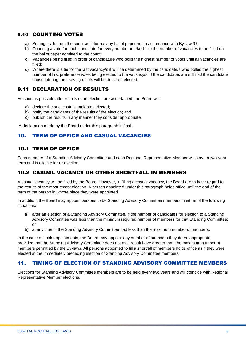#### 9.10 COUNTING VOTES

- a) Setting aside from the count as informal any ballot paper not in accordance with By-law 9.9:
- b) Counting a vote for each candidate for every number marked 1 to the number of vacancies to be filled on the ballot paper admitted to the count;
- c) Vacancies being filled in order of candidature who polls the highest number of votes until all vacancies are filled;
- d) Where there is a tie for the last vacancy/s it will be determined by the candidate/s who polled the highest number of first preference votes being elected to the vacancy/s. If the candidates are still tied the candidate chosen during the drawing of lots will be declared elected.

#### 9.11 DECLARATION OF RESULTS

As soon as possible after results of an election are ascertained, the Board will:

- a) declare the successful candidates elected;
- b) notify the candidates of the results of the election; and
- c) publish the results in any manner they consider appropriate.

A declaration made by the Board under this paragraph is final.

#### 10. TERM OF OFFICE AND CASUAL VACANCIES

#### 10.1 TERM OF OFFICE

Each member of a Standing Advisory Committee and each Regional Representative Member will serve a two-year term and is eligible for re-election.

#### 10.2 CASUAL VACANCY OR OTHER SHORTFALL IN MEMBERS

A casual vacancy will be filled by the Board. However, in filling a casual vacancy, the Board are to have regard to the results of the most recent election. A person appointed under this paragraph holds office until the end of the term of the person in whose place they were appointed.

In addition, the Board may appoint persons to be Standing Advisory Committee members in either of the following situations:

- a) after an election of a Standing Advisory Committee, if the number of candidates for election to a Standing Advisory Committee was less than the minimum required number of members for that Standing Committee; or
- b) at any time, if the Standing Advisory Committee had less than the maximum number of members.

In the case of such appointments, the Board may appoint any number of members they deem appropriate, provided that the Standing Advisory Committee does not as a result have greater than the maximum number of members permitted by the By-laws. All persons appointed to fill a shortfall of members holds office as if they were elected at the immediately preceding election of Standing Advisory Committee members.

#### 11. TIMING OF ELECTION OF STANDING ADVISORY COMMITTEE MEMBERS

Elections for Standing Advisory Committee members are to be held every two years and will coincide with Regional Representative Member elections.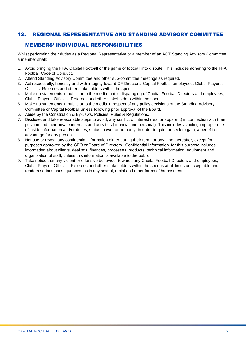#### 12. REGIONAL REPRESENTATIVE AND STANDING ADVISORY COMMITTEE

#### MEMBERS' INDIVIDUAL RESPONSIBILITIES

Whilst performing their duties as a Regional Representative or a member of an ACT Standing Advisory Committee, a member shall:

- 1. Avoid bringing the FFA, Capital Football or the game of football into dispute. This includes adhering to the FFA Football Code of Conduct.
- 2. Attend Standing Advisory Committee and other sub-committee meetings as required.
- 3. Act respectfully, honestly and with integrity toward CF Directors, Capital Football employees, Clubs, Players, Officials, Referees and other stakeholders within the sport.
- 4. Make no statements in public or to the media that is disparaging of Capital Football Directors and employees, Clubs, Players, Officials, Referees and other stakeholders within the sport.
- 5. Make no statements in public or to the media in respect of any policy decisions of the Standing Advisory Committee or Capital Football unless following prior approval of the Board.
- 6. Abide by the Constitution & By-Laws, Policies, Rules & Regulations.
- 7. Disclose, and take reasonable steps to avoid, any conflict of interest (real or apparent) in connection with their position and their private interests and activities (financial and personal). This includes avoiding improper use of inside information and/or duties, status, power or authority, in order to gain, or seek to gain, a benefit or advantage for any person.
- 8. Not use or reveal any confidential information either during their term, or any time thereafter, except for purposes approved by the CEO or Board of Directors. 'Confidential Information' for this purpose includes information about clients, dealings, finances, processes, products, technical information, equipment and organisation of staff, unless this information is available to the public.
- 9. Take notice that any violent or offensive behaviour towards any Capital Football Directors and employees, Clubs, Players, Officials, Referees and other stakeholders within the sport is at all times unacceptable and renders serious consequences, as is any sexual, racial and other forms of harassment.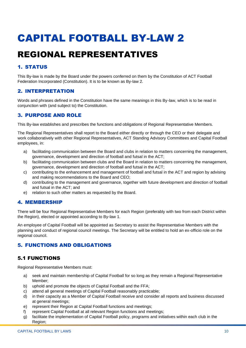### <span id="page-9-1"></span><span id="page-9-0"></span>REGIONAL REPRESENTATIVES

#### 1. STATUS

This By-law is made by the Board under the powers conferred on them by the Constitution of ACT Football Federation Incorporated (Constitution). It is to be known as By-law 2.

#### 2. INTERPRETATION

Words and phrases defined in the Constitution have the same meanings in this By-law, which is to be read in conjunction with (and subject to) the Constitution.

#### 3. PURPOSE AND ROLE

This By-law establishes and prescribes the functions and obligations of Regional Representative Members.

The Regional Representatives shall report to the Board either directly or through the CEO or their delegate and work collaboratively with other Regional Representatives, ACT Standing Advisory Committees and Capital Football employees, in:

- a) facilitating communication between the Board and clubs in relation to matters concerning the management, governance, development and direction of football and futsal in the ACT;
- b) facilitating communication between clubs and the Board in relation to matters concerning the management, governance, development and direction of football and futsal in the ACT;
- c) contributing to the enhancement and management of football and futsal in the ACT and region by advising and making recommendations to the Board and CEO;
- d) contributing to the management and governance, together with future development and direction of football and futsal in the ACT; and
- e) relation to such other matters as requested by the Board.

#### 4. MEMBERSHIP

There will be four Regional Representative Members for each Region (preferably with two from each District within the Region), elected or appointed according to By-law 1.

An employee of Capital Football will be appointed as Secretary to assist the Representative Members with the planning and conduct of regional council meetings. The Secretary will be entitled to hold an ex-officio role on the regional council.

#### 5. FUNCTIONS AND OBLIGATIONS

#### 5.1 FUNCTIONS

Regional Representative Members must:

- a) seek and maintain membership of Capital Football for so long as they remain a Regional Representative Member;
- b) uphold and promote the objects of Capital Football and the FFA;
- c) attend all general meetings of Capital Football reasonably practicable;
- d) in their capacity as a Member of Capital Football receive and consider all reports and business discussed at general meetings:
- e) represent their Region at Capital Football functions and meetings;
- f) represent Capital Football at all relevant Region functions and meetings:
- g) facilitate the implementation of Capital Football policy, programs and initiatives within each club in the Region;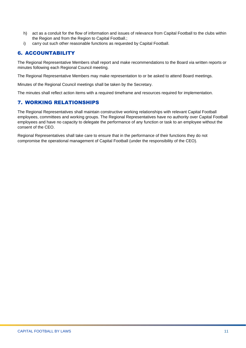- h) act as a conduit for the flow of information and issues of relevance from Capital Football to the clubs within the Region and from the Region to Capital Football.;
- i) carry out such other reasonable functions as requested by Capital Football.

#### 6. ACCOUNTABILITY

The Regional Representative Members shall report and make recommendations to the Board via written reports or minutes following each Regional Council meeting.

The Regional Representative Members may make representation to or be asked to attend Board meetings.

Minutes of the Regional Council meetings shall be taken by the Secretary.

The minutes shall reflect action items with a required timeframe and resources required for implementation.

#### 7. WORKING RELATIONSHIPS

The Regional Representatives shall maintain constructive working relationships with relevant Capital Football employees, committees and working groups. The Regional Representatives have no authority over Capital Football employees and have no capacity to delegate the performance of any function or task to an employee without the consent of the CEO.

Regional Representatives shall take care to ensure that in the performance of their functions they do not compromise the operational management of Capital Football (under the responsibility of the CEO).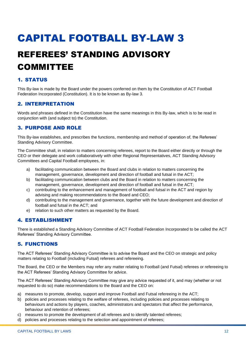### <span id="page-11-1"></span><span id="page-11-0"></span>REFEREES' STANDING ADVISORY COMMITTEE

#### 1. STATUS

This By-law is made by the Board under the powers conferred on them by the Constitution of ACT Football Federation Incorporated (Constitution). It is to be known as By-law 3.

#### 2. INTERPRETATION

Words and phrases defined in the Constitution have the same meanings in this By-law, which is to be read in conjunction with (and subject to) the Constitution.

#### 3. PURPOSE AND ROLE

This By-law establishes, and prescribes the functions, membership and method of operation of, the Referees' Standing Advisory Committee.

The Committee shall, in relation to matters concerning referees, report to the Board either directly or through the CEO or their delegate and work collaboratively with other Regional Representatives, ACT Standing Advisory Committees and Capital Football employees, in:

- a) facilitating communication between the Board and clubs in relation to matters concerning the management, governance, development and direction of football and futsal in the ACT;
- b) facilitating communication between clubs and the Board in relation to matters concerning the management, governance, development and direction of football and futsal in the ACT;
- c) contributing to the enhancement and management of football and futsal in the ACT and region by advising and making recommendations to the Board and CEO;
- d) contributing to the management and governance, together with the future development and direction of football and futsal in the ACT; and
- e) relation to such other matters as requested by the Board.

#### 4. ESTABLISHMENT

There is established a Standing Advisory Committee of ACT Football Federation Incorporated to be called the ACT Referees' Standing Advisory Committee.

#### 5. FUNCTIONS

The ACT Referees' Standing Advisory Committee is to advise the Board and the CEO on strategic and policy matters relating to Football (including Futsal) referees and refereeing.

The Board, the CEO or the Members may refer any matter relating to Football (and Futsal) referees or refereeing to the ACT Referees' Standing Advisory Committee for advice.

The ACT Referees' Standing Advisory Committee may give any advice requested of it, and may (whether or not requested to do so) make recommendations to the Board and the CEO on:

- a) measures to promote, develop, support and improve Football and Futsal refereeing in the ACT;
- b) policies and processes relating to the welfare of referees, including policies and processes relating to behaviours and actions by players, coaches, administrators and spectators that affect the performance, behaviour and retention of referees;
- c) measures to promote the development of all referees and to identify talented referees;
- d) policies and processes relating to the selection and appointment of referees;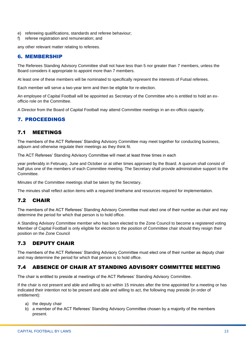- e) refereeing qualifications, standards and referee behaviour;
- f) referee registration and remuneration; and

any other relevant matter relating to referees.

#### 6. MEMBERSHIP

The Referees Standing Advisory Committee shall not have less than 5 nor greater than 7 members, unless the Board considers it appropriate to appoint more than 7 members.

At least one of these members will be nominated to specifically represent the interests of Futsal referees.

Each member will serve a two-year term and then be eligible for re-election.

An employee of Capital Football will be appointed as Secretary of the Committee who is entitled to hold an exofficio role on the Committee.

A Director from the Board of Capital Football may attend Committee meetings in an ex-officio capacity.

#### 7. PROCEEDINGS

#### 7.1 MEETINGS

The members of the ACT Referees' Standing Advisory Committee may meet together for conducting business, adjourn and otherwise regulate their meetings as they think fit.

The ACT Referees' Standing Advisory Committee will meet at least three times in each

year preferably in February, June and October or at other times approved by the Board. A quorum shall consist of half plus one of the members of each Committee meeting. The Secretary shall provide administrative support to the Committee.

Minutes of the Committee meetings shall be taken by the Secretary.

The minutes shall reflect action items with a required timeframe and resources required for implementation.

#### 7.2 CHAIR

The members of the ACT Referees' Standing Advisory Committee must elect one of their number as chair and may determine the period for which that person is to hold office.

A Standing Advisory Committee member who has been elected to the Zone Council to become a registered voting Member of Capital Football is only eligible for election to the position of Committee chair should they resign their position on the Zone Council

#### 7.3 DEPUTY CHAIR

The members of the ACT Referees' Standing Advisory Committee must elect one of their number as deputy chair and may determine the period for which that person is to hold office.

#### 7.4 ABSENCE OF CHAIR AT STANDING ADVISORY COMMITTEE MEETING

The chair is entitled to preside at meetings of the ACT Referees' Standing Advisory Committee.

If the chair is not present and able and willing to act within 15 minutes after the time appointed for a meeting or has indicated their intention not to be present and able and willing to act, the following may preside (in order of entitlement):

- a) the deputy chair
- b) a member of the ACT Referees' Standing Advisory Committee chosen by a majority of the members present.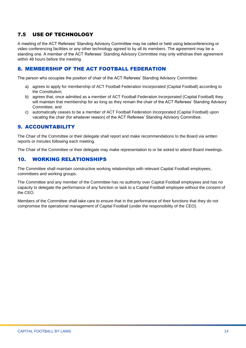#### 7.5 USE OF TECHNOLOGY

A meeting of the ACT Referees' Standing Advisory Committee may be called or held using teleconferencing or video conferencing facilities or any other technology agreed to by all its members. The agreement may be a standing one. A member of the ACT Referees' Standing Advisory Committee may only withdraw their agreement within 48 hours before the meeting.

#### 8. MEMBERSHIP OF THE ACT FOOTBALL FEDERATION

The person who occupies the position of chair of the ACT Referees' Standing Advisory Committee:

- a) agrees to apply for membership of ACT Football Federation Incorporated (Capital Football) according to the Constitution;
- b) agrees that, once admitted as a member of ACT Football Federation Incorporated (Capital Football) they will maintain that membership for as long as they remain the chair of the ACT Referees' Standing Advisory Committee; and
- c) automatically ceases to be a member of ACT Football Federation Incorporated (Capital Football) upon vacating the chair (for whatever reason) of the ACT Referees' Standing Advisory Committee.

#### 9. ACCOUNTABILITY

The Chair of the Committee or their delegate shall report and make recommendations to the Board via written reports or minutes following each meeting.

The Chair of the Committee or their delegate may make representation to or be asked to attend Board meetings.

#### 10. WORKING RELATIONSHIPS

The Committee shall maintain constructive working relationships with relevant Capital Football employees, committees and working groups.

The Committee and any member of the Committee has no authority over Capital Football employees and has no capacity to delegate the performance of any function or task to a Capital Football employee without the consent of the CEO.

Members of the Committee shall take care to ensure that in the performance of their functions that they do not compromise the operational management of Capital Football (under the responsibility of the CEO).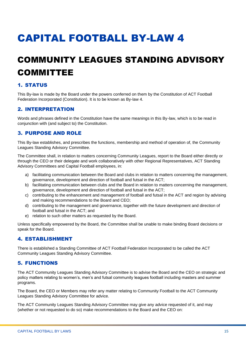### <span id="page-14-1"></span><span id="page-14-0"></span>COMMUNITY LEAGUES STANDING ADVISORY COMMITTEE

#### 1. STATUS

This By-law is made by the Board under the powers conferred on them by the Constitution of ACT Football Federation Incorporated (Constitution). It is to be known as By-law 4.

#### 2. INTERPRETATION

Words and phrases defined in the Constitution have the same meanings in this By-law, which is to be read in conjunction with (and subject to) the Constitution.

#### 3. PURPOSE AND ROLE

This By-law establishes, and prescribes the functions, membership and method of operation of, the Community Leagues Standing Advisory Committee.

The Committee shall, in relation to matters concerning Community Leagues, report to the Board either directly or through the CEO or their delegate and work collaboratively with other Regional Representatives, ACT Standing Advisory Committees and Capital Football employees, in:

- a) facilitating communication between the Board and clubs in relation to matters concerning the management, governance, development and direction of football and futsal in the ACT;
- b) facilitating communication between clubs and the Board in relation to matters concerning the management, governance, development and direction of football and futsal in the ACT;
- c) contributing to the enhancement and management of football and futsal in the ACT and region by advising and making recommendations to the Board and CEO;
- d) contributing to the management and governance, together with the future development and direction of football and futsal in the ACT; and
- e) relation to such other matters as requested by the Board.

Unless specifically empowered by the Board, the Committee shall be unable to make binding Board decisions or speak for the Board.

#### 4. ESTABLISHMENT

There is established a Standing Committee of ACT Football Federation Incorporated to be called the ACT Community Leagues Standing Advisory Committee.

#### 5. FUNCTIONS

The ACT Community Leagues Standing Advisory Committee is to advise the Board and the CEO on strategic and policy matters relating to women's, men's and futsal community leagues football including masters and summer programs.

The Board, the CEO or Members may refer any matter relating to Community Football to the ACT Community Leagues Standing Advisory Committee for advice.

The ACT Community Leagues Standing Advisory Committee may give any advice requested of it, and may (whether or not requested to do so) make recommendations to the Board and the CEO on: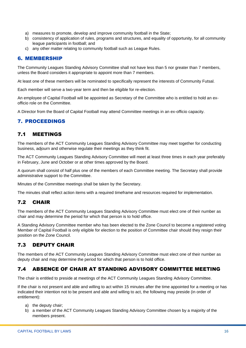- a) measures to promote, develop and improve community football in the State;
- b) consistency of application of rules, programs and structures, and equality of opportunity, for all community league participants in football; and
- c) any other matter relating to community football such as League Rules.

#### 6. MEMBERSHIP

The Community Leagues Standing Advisory Committee shall not have less than 5 nor greater than 7 members, unless the Board considers it appropriate to appoint more than 7 members.

At least one of these members will be nominated to specifically represent the interests of Community Futsal.

Each member will serve a two-year term and then be eligible for re-election.

An employee of Capital Football will be appointed as Secretary of the Committee who is entitled to hold an exofficio role on the Committee.

A Director from the Board of Capital Football may attend Committee meetings in an ex-officio capacity.

#### 7. PROCEEDINGS

#### 7.1 MEETINGS

The members of the ACT Community Leagues Standing Advisory Committee may meet together for conducting business, adjourn and otherwise regulate their meetings as they think fit.

The ACT Community Leagues Standing Advisory Committee will meet at least three times in each year preferably in February, June and October or at other times approved by the Board.

A quorum shall consist of half plus one of the members of each Committee meeting. The Secretary shall provide administrative support to the Committee.

Minutes of the Committee meetings shall be taken by the Secretary.

The minutes shall reflect action items with a required timeframe and resources required for implementation.

#### 7.2 CHAIR

The members of the ACT Community Leagues Standing Advisory Committee must elect one of their number as chair and may determine the period for which that person is to hold office.

A Standing Advisory Committee member who has been elected to the Zone Council to become a registered voting Member of Capital Football is only eligible for election to the position of Committee chair should they resign their position on the Zone Council.

#### 7.3 DEPUTY CHAIR

The members of the ACT Community Leagues Standing Advisory Committee must elect one of their number as deputy chair and may determine the period for which that person is to hold office.

#### 7.4 ABSENCE OF CHAIR AT STANDING ADVISORY COMMITTEE MEETING

The chair is entitled to preside at meetings of the ACT Community Leagues Standing Advisory Committee.

If the chair is not present and able and willing to act within 15 minutes after the time appointed for a meeting or has indicated their intention not to be present and able and willing to act, the following may preside (in order of entitlement):

- a) the deputy chair;
- b) a member of the ACT Community Leagues Standing Advisory Committee chosen by a majority of the members present.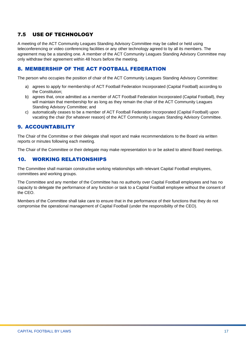#### 7.5 USE OF TECHNOLOGY

A meeting of the ACT Community Leagues Standing Advisory Committee may be called or held using teleconferencing or video conferencing facilities or any other technology agreed to by all its members. The agreement may be a standing one. A member of the ACT Community Leagues Standing Advisory Committee may only withdraw their agreement within 48 hours before the meeting.

#### 8. MEMBERSHIP OF THE ACT FOOTBALL FEDERATION

The person who occupies the position of chair of the ACT Community Leagues Standing Advisory Committee:

- a) agrees to apply for membership of ACT Football Federation Incorporated (Capital Football) according to the Constitution;
- b) agrees that, once admitted as a member of ACT Football Federation Incorporated (Capital Football), they will maintain that membership for as long as they remain the chair of the ACT Community Leagues Standing Advisory Committee; and
- c) automatically ceases to be a member of ACT Football Federation Incorporated (Capital Football) upon vacating the chair (for whatever reason) of the ACT Community Leagues Standing Advisory Committee.

#### 9. ACCOUNTABILITY

The Chair of the Committee or their delegate shall report and make recommendations to the Board via written reports or minutes following each meeting.

The Chair of the Committee or their delegate may make representation to or be asked to attend Board meetings.

#### 10. WORKING RELATIONSHIPS

The Committee shall maintain constructive working relationships with relevant Capital Football employees, committees and working groups.

The Committee and any member of the Committee has no authority over Capital Football employees and has no capacity to delegate the performance of any function or task to a Capital Football employee without the consent of the CEO.

Members of the Committee shall take care to ensure that in the performance of their functions that they do not compromise the operational management of Capital Football (under the responsibility of the CEO).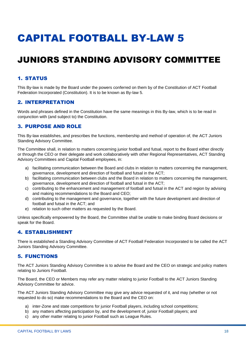### <span id="page-17-1"></span><span id="page-17-0"></span>JUNIORS STANDING ADVISORY COMMITTEE

#### 1. STATUS

This By-law is made by the Board under the powers conferred on them by of the Constitution of ACT Football Federation Incorporated (Constitution). It is to be known as By-law 5.

#### 2. INTERPRETATION

Words and phrases defined in the Constitution have the same meanings in this By-law, which is to be read in conjunction with (and subject to) the Constitution.

#### 3. PURPOSE AND ROLE

This By-law establishes, and prescribes the functions, membership and method of operation of, the ACT Juniors Standing Advisory Committee.

The Committee shall, in relation to matters concerning junior football and futsal, report to the Board either directly or through the CEO or their delegate and work collaboratively with other Regional Representatives, ACT Standing Advisory Committees and Capital Football employees, in:

- a) facilitating communication between the Board and clubs in relation to matters concerning the management, governance, development and direction of football and futsal in the ACT;
- b) facilitating communication between clubs and the Board in relation to matters concerning the management, governance, development and direction of football and futsal in the ACT;
- c) contributing to the enhancement and management of football and futsal in the ACT and region by advising and making recommendations to the Board and CEO;
- d) contributing to the management and governance, together with the future development and direction of football and futsal in the ACT; and
- e) relation to such other matters as requested by the Board.

Unless specifically empowered by the Board, the Committee shall be unable to make binding Board decisions or speak for the Board.

#### 4. ESTABLISHMENT

There is established a Standing Advisory Committee of ACT Football Federation Incorporated to be called the ACT Juniors Standing Advisory Committee.

#### 5. FUNCTIONS

The ACT Juniors Standing Advisory Committee is to advise the Board and the CEO on strategic and policy matters relating to Juniors Football.

The Board, the CEO or Members may refer any matter relating to junior Football to the ACT Juniors Standing Advisory Committee for advice.

The ACT Juniors Standing Advisory Committee may give any advice requested of it, and may (whether or not requested to do so) make recommendations to the Board and the CEO on:

- a) inter-Zone and state competitions for junior Football players, including school competitions;
- b) any matters affecting participation by, and the development of, junior Football players; and
- c) any other matter relating to junior Football such as League Rules.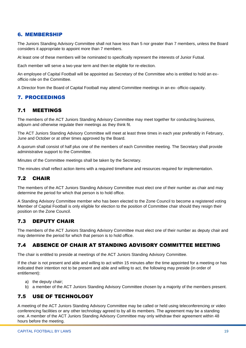#### 6. MEMBERSHIP

The Juniors Standing Advisory Committee shall not have less than 5 nor greater than 7 members, unless the Board considers it appropriate to appoint more than 7 members.

At least one of these members will be nominated to specifically represent the interests of Junior Futsal.

Each member will serve a two-year term and then be eligible for re-election.

An employee of Capital Football will be appointed as Secretary of the Committee who is entitled to hold an exofficio role on the Committee.

A Director from the Board of Capital Football may attend Committee meetings in an ex- officio capacity.

#### 7. PROCEEDINGS

#### 7.1 MEETINGS

The members of the ACT Juniors Standing Advisory Committee may meet together for conducting business, adjourn and otherwise regulate their meetings as they think fit.

The ACT Juniors Standing Advisory Committee will meet at least three times in each year preferably in February, June and October or at other times approved by the Board.

A quorum shall consist of half plus one of the members of each Committee meeting. The Secretary shall provide administrative support to the Committee.

Minutes of the Committee meetings shall be taken by the Secretary.

The minutes shall reflect action items with a required timeframe and resources required for implementation.

#### 7.2 CHAIR

The members of the ACT Juniors Standing Advisory Committee must elect one of their number as chair and may determine the period for which that person is to hold office.

A Standing Advisory Committee member who has been elected to the Zone Council to become a registered voting Member of Capital Football is only eligible for election to the position of Committee chair should they resign their position on the Zone Council.

#### 7.3 DEPUTY CHAIR

The members of the ACT Juniors Standing Advisory Committee must elect one of their number as deputy chair and may determine the period for which that person is to hold office.

#### 7.4 ABSENCE OF CHAIR AT STANDING ADVISORY COMMITTEE MEETING

The chair is entitled to preside at meetings of the ACT Juniors Standing Advisory Committee.

If the chair is not present and able and willing to act within 15 minutes after the time appointed for a meeting or has indicated their intention not to be present and able and willing to act, the following may preside (in order of entitlement):

- a) the deputy chair;
- b) a member of the ACT Juniors Standing Advisory Committee chosen by a majority of the members present.

#### 7.5 USE OF TECHNOLOGY

A meeting of the ACT Juniors Standing Advisory Committee may be called or held using teleconferencing or video conferencing facilities or any other technology agreed to by all its members. The agreement may be a standing one. A member of the ACT Juniors Standing Advisory Committee may only withdraw their agreement within 48 hours before the meeting.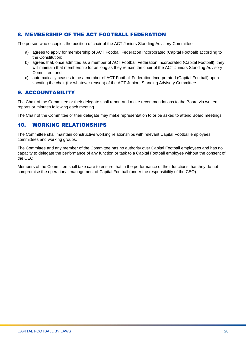#### 8. MEMBERSHIP OF THE ACT FOOTBALL FEDERATION

The person who occupies the position of chair of the ACT Juniors Standing Advisory Committee:

- a) agrees to apply for membership of ACT Football Federation Incorporated (Capital Football) according to the Constitution;
- b) agrees that, once admitted as a member of ACT Football Federation Incorporated (Capital Football), they will maintain that membership for as long as they remain the chair of the ACT Juniors Standing Advisory Committee; and
- c) automatically ceases to be a member of ACT Football Federation Incorporated (Capital Football) upon vacating the chair (for whatever reason) of the ACT Juniors Standing Advisory Committee.

#### 9. ACCOUNTABILITY

The Chair of the Committee or their delegate shall report and make recommendations to the Board via written reports or minutes following each meeting.

The Chair of the Committee or their delegate may make representation to or be asked to attend Board meetings.

#### 10. WORKING RELATIONSHIPS

The Committee shall maintain constructive working relationships with relevant Capital Football employees, committees and working groups.

The Committee and any member of the Committee has no authority over Capital Football employees and has no capacity to delegate the performance of any function or task to a Capital Football employee without the consent of the CEO.

Members of the Committee shall take care to ensure that in the performance of their functions that they do not compromise the operational management of Capital Football (under the responsibility of the CEO).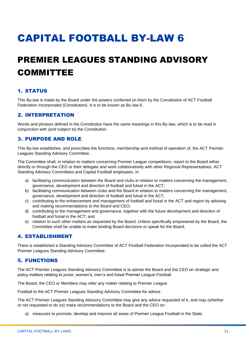### <span id="page-20-1"></span><span id="page-20-0"></span>PREMIER LEAGUES STANDING ADVISORY COMMITTEE

#### 1. STATUS

This By-law is made by the Board under the powers conferred on them by the Constitution of ACT Football Federation Incorporated (Constitution). It is to be known as By-law 6.

#### 2. INTERPRETATION

Words and phrases defined in the Constitution have the same meanings in this By-law, which is to be read in conjunction with (and subject to) the Constitution.

#### 3. PURPOSE AND ROLE

This By-law establishes, and prescribes the functions, membership and method of operation of, the ACT Premier Leagues Standing Advisory Committee.

The Committee shall, in relation to matters concerning Premier League competitions, report to the Board either directly or through the CEO or their delegate and work collaboratively with other Regional Representatives, ACT Standing Advisory Committees and Capital Football employees, in:

- a) facilitating communication between the Board and clubs in relation to matters concerning the management, governance, development and direction of football and futsal in the ACT;
- b) facilitating communication between clubs and the Board in relation to matters concerning the management, governance, development and direction of football and futsal in the ACT;
- c) contributing to the enhancement and management of football and futsal in the ACT and region by advising and making recommendations to the Board and CEO;
- d) contributing to the management and governance, together with the future development and direction of football and futsal in the ACT; and
- e) relation to such other matters as requested by the Board. Unless specifically empowered by the Board, the Committee shall be unable to make binding Board decisions or speak for the Board.

#### 4. ESTABLISHMENT

There is established a Standing Advisory Committee of ACT Football Federation Incorporated to be called the ACT Premier Leagues Standing Advisory Committee.

#### 5. FUNCTIONS

The ACT Premier Leagues Standing Advisory Committee is to advise the Board and the CEO on strategic and policy matters relating to junior, women's, men's and futsal Premier League Football.

The Board, the CEO or Members may refer any matter relating to Premier League

Football to the ACT Premier Leagues Standing Advisory Committee for advice.

The ACT Premier Leagues Standing Advisory Committee may give any advice requested of it, and may (whether or not requested to do so) make recommendations to the Board and the CEO on:

a) measures to promote, develop and improve all areas of Premier League Football in the State;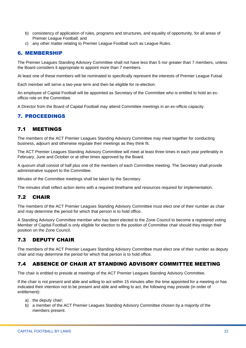- b) consistency of application of rules, programs and structures, and equality of opportunity, for all areas of Premier League Football; and
- c) any other matter relating to Premier League Football such as League Rules.

#### 6. MEMBERSHIP

The Premier Leagues Standing Advisory Committee shall not have less than 5 nor greater than 7 members, unless the Board considers it appropriate to appoint more than 7 members.

At least one of these members will be nominated to specifically represent the interests of Premier League Futsal.

Each member will serve a two-year term and then be eligible for re-election.

An employee of Capital Football will be appointed as Secretary of the Committee who is entitled to hold an exofficio role on the Committee.

A Director from the Board of Capital Football may attend Committee meetings in an ex-officio capacity.

#### 7. PROCEEDINGS

#### 7.1 MEETINGS

The members of the ACT Premier Leagues Standing Advisory Committee may meet together for conducting business, adjourn and otherwise regulate their meetings as they think fit.

The ACT Premier Leagues Standing Advisory Committee will meet at least three times in each year preferably in February, June and October or at other times approved by the Board.

A quorum shall consist of half plus one of the members of each Committee meeting. The Secretary shall provide administrative support to the Committee.

Minutes of the Committee meetings shall be taken by the Secretary.

The minutes shall reflect action items with a required timeframe and resources required for implementation.

#### 7.2 CHAIR

The members of the ACT Premier Leagues Standing Advisory Committee must elect one of their number as chair and may determine the period for which that person is to hold office.

A Standing Advisory Committee member who has been elected to the Zone Council to become a registered voting Member of Capital Football is only eligible for election to the position of Committee chair should they resign their position on the Zone Council.

#### 7.3 DEPUTY CHAIR

The members of the ACT Premier Leagues Standing Advisory Committee must elect one of their number as deputy chair and may determine the period for which that person is to hold office.

#### 7.4 ABSENCE OF CHAIR AT STANDING ADVISORY COMMITTEE MEETING

The chair is entitled to preside at meetings of the ACT Premier Leagues Standing Advisory Committee.

If the chair is not present and able and willing to act within 15 minutes after the time appointed for a meeting or has indicated their intention not to be present and able and willing to act, the following may preside (in order of entitlement):

- a) the deputy chair;
- b) a member of the ACT Premier Leagues Standing Advisory Committee chosen by a majority of the members present.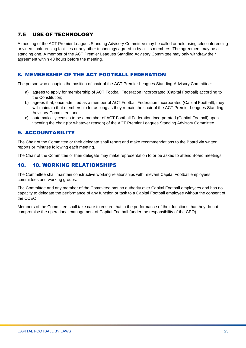#### 7.5 USE OF TECHNOLOGY

A meeting of the ACT Premier Leagues Standing Advisory Committee may be called or held using teleconferencing or video conferencing facilities or any other technology agreed to by all its members. The agreement may be a standing one. A member of the ACT Premier Leagues Standing Advisory Committee may only withdraw their agreement within 48 hours before the meeting.

#### 8. MEMBERSHIP OF THE ACT FOOTBALL FEDERATION

The person who occupies the position of chair of the ACT Premier Leagues Standing Advisory Committee:

- a) agrees to apply for membership of ACT Football Federation Incorporated (Capital Football) according to the Constitution;
- b) agrees that, once admitted as a member of ACT Football Federation Incorporated (Capital Football), they will maintain that membership for as long as they remain the chair of the ACT Premier Leagues Standing Advisory Committee; and
- c) automatically ceases to be a member of ACT Football Federation Incorporated (Capital Football) upon vacating the chair (for whatever reason) of the ACT Premier Leagues Standing Advisory Committee.

#### 9. ACCOUNTABILITY

The Chair of the Committee or their delegate shall report and make recommendations to the Board via written reports or minutes following each meeting.

The Chair of the Committee or their delegate may make representation to or be asked to attend Board meetings.

#### 10. 10. WORKING RELATIONSHIPS

The Committee shall maintain constructive working relationships with relevant Capital Football employees, committees and working groups.

The Committee and any member of the Committee has no authority over Capital Football employees and has no capacity to delegate the performance of any function or task to a Capital Football employee without the consent of the CCEO.

Members of the Committee shall take care to ensure that in the performance of their functions that they do not compromise the operational management of Capital Football (under the responsibility of the CEO).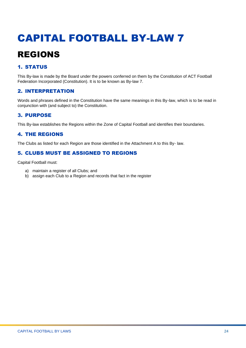### <span id="page-23-1"></span><span id="page-23-0"></span>REGIONS

#### 1. STATUS

This By-law is made by the Board under the powers conferred on them by the Constitution of ACT Football Federation Incorporated (Constitution). It is to be known as By-law 7.

#### 2. INTERPRETATION

Words and phrases defined in the Constitution have the same meanings in this By-law, which is to be read in conjunction with (and subject to) the Constitution.

#### 3. PURPOSE

This By-law establishes the Regions within the Zone of Capital Football and identifies their boundaries.

#### 4. THE REGIONS

The Clubs as listed for each Region are those identified in the Attachment A to this By- law.

#### 5. CLUBS MUST BE ASSIGNED TO REGIONS

Capital Football must:

- a) maintain a register of all Clubs; and
- b) assign each Club to a Region and records that fact in the register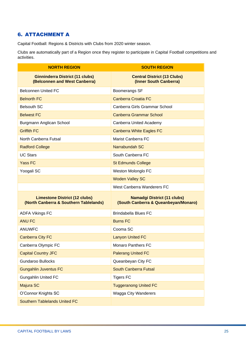#### 6. ATTACHMENT A

Capital Football: Regions & Districts with Clubs from 2020 winter season.

Clubs are automatically part of a Region once they register to participate in Capital Football competitions and activities.

<span id="page-24-0"></span>

| <b>NORTH REGION</b>                                                            | <b>SOUTH REGION</b>                                                        |
|--------------------------------------------------------------------------------|----------------------------------------------------------------------------|
| <b>Ginninderra District (11 clubs)</b><br>(Belconnen and West Canberra)        | <b>Central District (13 Clubs)</b><br>(Inner South Canberra)               |
| <b>Belconnen United FC</b>                                                     | Boomerangs SF                                                              |
| <b>Belnorth FC</b>                                                             | Canberra Croatia FC                                                        |
| <b>Belsouth SC</b>                                                             | Canberra Girls Grammar School                                              |
| <b>Belwest FC</b>                                                              | <b>Canberra Grammar School</b>                                             |
| Burgmann Anglican School                                                       | Canberra United Academy                                                    |
| <b>Griffith FC</b>                                                             | <b>Canberra White Eagles FC</b>                                            |
| North Canberra Futsal                                                          | <b>Marist Canberra FC</b>                                                  |
| <b>Radford College</b>                                                         | Narrabundah SC                                                             |
| <b>UC Stars</b>                                                                | South Canberra FC                                                          |
| <b>Yass FC</b>                                                                 | <b>St Edmunds College</b>                                                  |
| Yoogali SC                                                                     | Weston Molonglo FC                                                         |
|                                                                                | <b>Woden Valley SC</b>                                                     |
|                                                                                | West Canberra Wanderers FC                                                 |
| <b>Limestone District (12 clubs)</b><br>(North Canberra & Southern Tablelands) | <b>Namadgi District (11 clubs)</b><br>(South Canberra & Queanbeyan/Monaro) |
| <b>ADFA Vikings FC</b>                                                         | <b>Brindabella Blues FC</b>                                                |
| <b>ANU FC</b>                                                                  | <b>Burns FC</b>                                                            |
| <b>ANUWFC</b>                                                                  | Cooma SC                                                                   |
| <b>Canberra City FC</b>                                                        | <b>Lanyon United FC</b>                                                    |
| Canberra Olympic FC                                                            | <b>Monaro Panthers FC</b>                                                  |
| <b>Capital Country JFC</b>                                                     | <b>Palerang United FC</b>                                                  |
| <b>Gundaroo Bullocks</b>                                                       | Queanbeyan City FC                                                         |
| <b>Gungahlin Juventus FC</b>                                                   | <b>South Canberra Futsal</b>                                               |
| <b>Gungahlin United FC</b>                                                     | <b>Tigers FC</b>                                                           |
| Majura SC                                                                      | <b>Tuggeranong United FC</b>                                               |
| O'Connor Knights SC                                                            | Wagga City Wanderers                                                       |
| <b>Southern Tablelands United FC</b>                                           |                                                                            |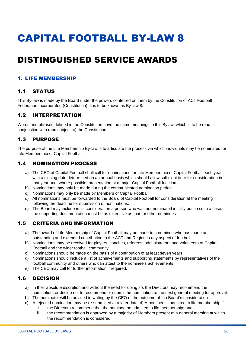### <span id="page-25-0"></span>DISTINGUISHED SERVICE AWARDS

#### 1. LIFE MEMBERSHIP

#### 1.1 STATUS

This By-law is made by the Board under the powers conferred on them by the Constitution of ACT Football Federation Incorporated (Constitution). It is to be known as By-law 8.

#### 1.2 INTERPRETATION

Words and phrases defined in the Constitution have the same meanings in this Bylaw, which is to be read in conjunction with (and subject to) the Constitution.

#### 1.3 PURPOSE

The purpose of the Life Membership By-law is to articulate the process via which individuals may be nominated for Life Membership of Capital Football.

#### 1.4 NOMINATION PROCESS

- a) The CEO of Capital Football shall call for nominations for Life Membership of Capital Football each year with a closing date determined on an annual basis which should allow sufficient time for consideration in that year and, where possible, presentation at a major Capital Football function.
- b) Nominations may only be made during the communicated nomination period.
- c) Nominations may only be made by Members of Capital Football.
- d) All nominations must be forwarded to the Board of Capital Football for consideration at the meeting following the deadline for submission of nominations.
- e) The Board may include in its consideration a person who was not nominated initially but, in such a case, the supporting documentation must be as extensive as that for other nominees.

#### 1.5 CRITERIA AND INFORMATION

- a) The award of Life Membership of Capital Football may be made to a nominee who has made an outstanding and extended contribution to the ACT and Region in any aspect of football.
- b) Nominations may be received for players, coaches, referees, administrators and volunteers of Capital Football and the wider football community.
- c) Nominations should be made on the basis of a contribution of at least seven years.
- d) Nominations should include a list of achievements and supporting statements by representatives of the football community and others who can attest to the nominee's achievements.
- e) The CEO may call for further information if required.

#### 1.6 DECISION

- a) In their absolute discretion and without the need for doing so, the Directors may recommend the nomination, or decide not to recommend or submit the nomination to the next general meeting for approval.
- b) The nominator will be advised in writing by the CEO of the outcome of the Board's consideration.
- c) A rejected nomination may be re-submitted at a later date. d) A nominee is admitted to life membership if: i. the Directors recommend that the nominee be admitted to life membership; and
	- ii. the recommendation is approved by a majority of Members present at a general meeting at which
	- the recommendation is considered.